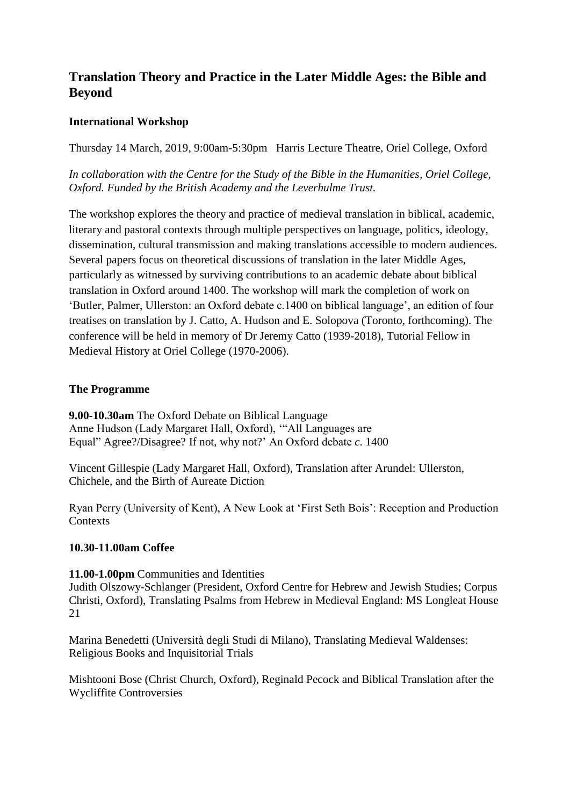# **Translation Theory and Practice in the Later Middle Ages: the Bible and Beyond**

# **International Workshop**

Thursday 14 March, 2019, 9:00am-5:30pm Harris Lecture Theatre, Oriel College, Oxford

*In collaboration with the Centre for the Study of the Bible in the Humanities, Oriel College, Oxford. Funded by the British Academy and the Leverhulme Trust.*

The workshop explores the theory and practice of medieval translation in biblical, academic, literary and pastoral contexts through multiple perspectives on language, politics, ideology, dissemination, cultural transmission and making translations accessible to modern audiences. Several papers focus on theoretical discussions of translation in the later Middle Ages, particularly as witnessed by surviving contributions to an academic debate about biblical translation in Oxford around 1400. The workshop will mark the completion of work on 'Butler, Palmer, Ullerston: an Oxford debate c.1400 on biblical language', an edition of four treatises on translation by J. Catto, A. Hudson and E. Solopova (Toronto, forthcoming). The conference will be held in memory of Dr Jeremy Catto (1939-2018), Tutorial Fellow in Medieval History at Oriel College (1970-2006).

# **The Programme**

**9.00-10.30am** The Oxford Debate on Biblical Language Anne Hudson (Lady Margaret Hall, Oxford), '"All Languages are Equal" Agree?/Disagree? If not, why not?' An Oxford debate *c*. 1400

Vincent Gillespie (Lady Margaret Hall, Oxford), Translation after Arundel: Ullerston, Chichele, and the Birth of Aureate Diction

Ryan Perry (University of Kent), A New Look at 'First Seth Bois': Reception and Production **Contexts** 

# **10.30-11.00am Coffee**

#### **11.00-1.00pm** Communities and Identities

Judith Olszowy-Schlanger (President, Oxford Centre for Hebrew and Jewish Studies; Corpus Christi, Oxford), Translating Psalms from Hebrew in Medieval England: MS Longleat House 21

Marina Benedetti (Università degli Studi di Milano), Translating Medieval Waldenses: Religious Books and Inquisitorial Trials

Mishtooni Bose (Christ Church, Oxford), Reginald Pecock and Biblical Translation after the Wycliffite Controversies